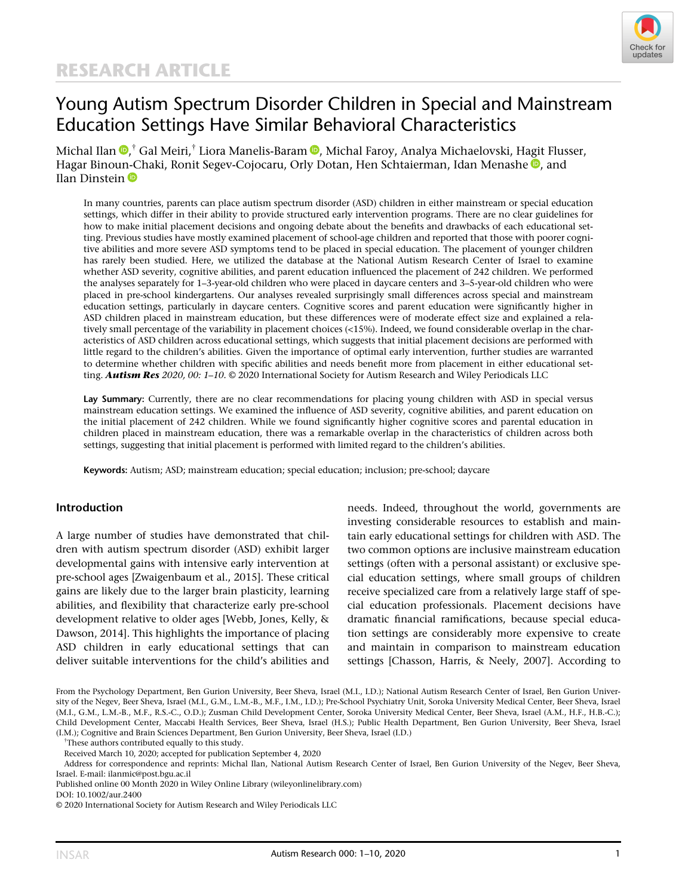

# Young Autism Spectrum Disorder Children in Special and Mainstream Education Settings Have Similar Behavioral Characteristics

Michal Ilan , † Gal Meiri,† Liora Manelis-Baram [,](https://orcid.org/0000-0003-0616-2724) Michal Faroy, Analya Michaelovski, Hagit Flusser, Hagar Binoun-Chaki[,](https://orcid.org/0000-0003-1961-1461) Ronit Segev-Cojocaru, Orly Dotan, Hen Schtaierman, Idan Menashe , and Ilan Dinstein **D** 

In many countries, parents can place autism spectrum disorder (ASD) children in either mainstream or special education settings, which differ in their ability to provide structured early intervention programs. There are no clear guidelines for how to make initial placement decisions and ongoing debate about the benefits and drawbacks of each educational setting. Previous studies have mostly examined placement of school-age children and reported that those with poorer cognitive abilities and more severe ASD symptoms tend to be placed in special education. The placement of younger children has rarely been studied. Here, we utilized the database at the National Autism Research Center of Israel to examine whether ASD severity, cognitive abilities, and parent education influenced the placement of 242 children. We performed the analyses separately for 1–3-year-old children who were placed in daycare centers and 3–5-year-old children who were placed in pre-school kindergartens. Our analyses revealed surprisingly small differences across special and mainstream education settings, particularly in daycare centers. Cognitive scores and parent education were significantly higher in ASD children placed in mainstream education, but these differences were of moderate effect size and explained a relatively small percentage of the variability in placement choices (<15%). Indeed, we found considerable overlap in the characteristics of ASD children across educational settings, which suggests that initial placement decisions are performed with little regard to the children's abilities. Given the importance of optimal early intervention, further studies are warranted to determine whether children with specific abilities and needs benefit more from placement in either educational setting. Autism Res 2020, 00: 1-10. © 2020 International Society for Autism Research and Wiley Periodicals LLC

Lay Summary: Currently, there are no clear recommendations for placing young children with ASD in special versus mainstream education settings. We examined the influence of ASD severity, cognitive abilities, and parent education on the initial placement of 242 children. While we found significantly higher cognitive scores and parental education in children placed in mainstream education, there was a remarkable overlap in the characteristics of children across both settings, suggesting that initial placement is performed with limited regard to the children's abilities.

Keywords: Autism; ASD; mainstream education; special education; inclusion; pre-school; daycare

#### Introduction

A large number of studies have demonstrated that children with autism spectrum disorder (ASD) exhibit larger developmental gains with intensive early intervention at pre-school ages [Zwaigenbaum et al., 2015]. These critical gains are likely due to the larger brain plasticity, learning abilities, and flexibility that characterize early pre-school development relative to older ages [Webb, Jones, Kelly, & Dawson, 2014]. This highlights the importance of placing ASD children in early educational settings that can deliver suitable interventions for the child's abilities and

needs. Indeed, throughout the world, governments are investing considerable resources to establish and maintain early educational settings for children with ASD. The two common options are inclusive mainstream education settings (often with a personal assistant) or exclusive special education settings, where small groups of children receive specialized care from a relatively large staff of special education professionals. Placement decisions have dramatic financial ramifications, because special education settings are considerably more expensive to create and maintain in comparison to mainstream education settings [Chasson, Harris, & Neely, 2007]. According to

From the Psychology Department, Ben Gurion University, Beer Sheva, Israel (M.I., I.D.); National Autism Research Center of Israel, Ben Gurion University of the Negev, Beer Sheva, Israel (M.I., G.M., L.M.-B., M.F., I.M., I.D.); Pre-School Psychiatry Unit, Soroka University Medical Center, Beer Sheva, Israel (M.I., G.M., L.M.-B., M.F., R.S.-C., O.D.); Zusman Child Development Center, Soroka University Medical Center, Beer Sheva, Israel (A.M., H.F., H.B.-C.); Child Development Center, Maccabi Health Services, Beer Sheva, Israel (H.S.); Public Health Department, Ben Gurion University, Beer Sheva, Israel (I.M.); Cognitive and Brain Sciences Department, Ben Gurion University, Beer Sheva, Israel (I.D.)

† These authors contributed equally to this study.

Address for correspondence and reprints: Michal Ilan, National Autism Research Center of Israel, Ben Gurion University of the Negev, Beer Sheva, Israel. E-mail: [ilanmic@post.bgu.ac.il](mailto:ilanmic@post.bgu.ac.il)

Published online 00 Month 2020 in Wiley Online Library (wileyonlinelibrary.com)

Received March 10, 2020; accepted for publication September 4, 2020

DOI: 10.1002/aur.2400

<sup>© 2020</sup> International Society for Autism Research and Wiley Periodicals LLC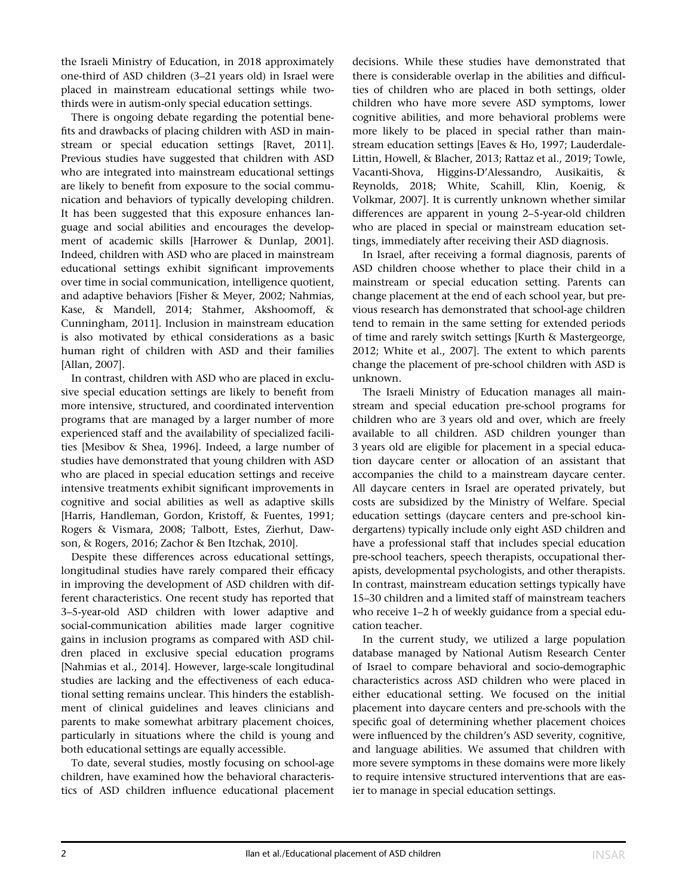the Israeli Ministry of Education, in 2018 approximately one-third of ASD children (3–21 years old) in Israel were placed in mainstream educational settings while twothirds were in autism-only special education settings.

There is ongoing debate regarding the potential benefits and drawbacks of placing children with ASD in mainstream or special education settings [Ravet, 2011]. Previous studies have suggested that children with ASD who are integrated into mainstream educational settings are likely to benefit from exposure to the social communication and behaviors of typically developing children. It has been suggested that this exposure enhances language and social abilities and encourages the development of academic skills [Harrower & Dunlap, 2001]. Indeed, children with ASD who are placed in mainstream educational settings exhibit significant improvements over time in social communication, intelligence quotient, and adaptive behaviors [Fisher & Meyer, 2002; Nahmias, Kase, & Mandell, 2014; Stahmer, Akshoomoff, & Cunningham, 2011]. Inclusion in mainstream education is also motivated by ethical considerations as a basic human right of children with ASD and their families [Allan, 2007].

In contrast, children with ASD who are placed in exclusive special education settings are likely to benefit from more intensive, structured, and coordinated intervention programs that are managed by a larger number of more experienced staff and the availability of specialized facilities [Mesibov & Shea, 1996]. Indeed, a large number of studies have demonstrated that young children with ASD who are placed in special education settings and receive intensive treatments exhibit significant improvements in cognitive and social abilities as well as adaptive skills [Harris, Handleman, Gordon, Kristoff, & Fuentes, 1991; Rogers & Vismara, 2008; Talbott, Estes, Zierhut, Dawson, & Rogers, 2016; Zachor & Ben Itzchak, 2010].

Despite these differences across educational settings, longitudinal studies have rarely compared their efficacy in improving the development of ASD children with different characteristics. One recent study has reported that 3–5-year-old ASD children with lower adaptive and social-communication abilities made larger cognitive gains in inclusion programs as compared with ASD children placed in exclusive special education programs [Nahmias et al., 2014]. However, large-scale longitudinal studies are lacking and the effectiveness of each educational setting remains unclear. This hinders the establishment of clinical guidelines and leaves clinicians and parents to make somewhat arbitrary placement choices, particularly in situations where the child is young and both educational settings are equally accessible.

To date, several studies, mostly focusing on school-age children, have examined how the behavioral characteristics of ASD children influence educational placement decisions. While these studies have demonstrated that there is considerable overlap in the abilities and difficulties of children who are placed in both settings, older children who have more severe ASD symptoms, lower cognitive abilities, and more behavioral problems were more likely to be placed in special rather than mainstream education settings [Eaves & Ho, 1997; Lauderdale-Littin, Howell, & Blacher, 2013; Rattaz et al., 2019; Towle, Vacanti-Shova, Higgins-D'Alessandro, Ausikaitis, & Reynolds, 2018; White, Scahill, Klin, Koenig, & Volkmar, 2007]. It is currently unknown whether similar differences are apparent in young 2–5-year-old children who are placed in special or mainstream education settings, immediately after receiving their ASD diagnosis.

In Israel, after receiving a formal diagnosis, parents of ASD children choose whether to place their child in a mainstream or special education setting. Parents can change placement at the end of each school year, but previous research has demonstrated that school-age children tend to remain in the same setting for extended periods of time and rarely switch settings [Kurth & Mastergeorge, 2012; White et al., 2007]. The extent to which parents change the placement of pre-school children with ASD is unknown.

The Israeli Ministry of Education manages all mainstream and special education pre-school programs for children who are 3 years old and over, which are freely available to all children. ASD children younger than 3 years old are eligible for placement in a special education daycare center or allocation of an assistant that accompanies the child to a mainstream daycare center. All daycare centers in Israel are operated privately, but costs are subsidized by the Ministry of Welfare. Special education settings (daycare centers and pre-school kindergartens) typically include only eight ASD children and have a professional staff that includes special education pre-school teachers, speech therapists, occupational therapists, developmental psychologists, and other therapists. In contrast, mainstream education settings typically have 15–30 children and a limited staff of mainstream teachers who receive 1–2 h of weekly guidance from a special education teacher.

In the current study, we utilized a large population database managed by National Autism Research Center of Israel to compare behavioral and socio-demographic characteristics across ASD children who were placed in either educational setting. We focused on the initial placement into daycare centers and pre-schools with the specific goal of determining whether placement choices were influenced by the children's ASD severity, cognitive, and language abilities. We assumed that children with more severe symptoms in these domains were more likely to require intensive structured interventions that are easier to manage in special education settings.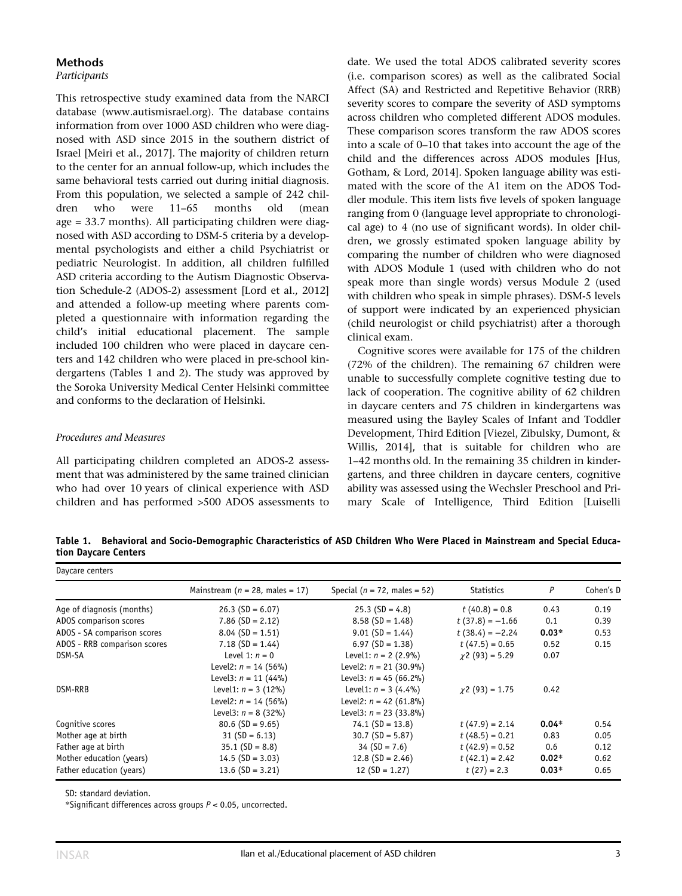## Methods

## Participants

This retrospective study examined data from the NARCI database [\(www.autismisrael.org](http://www.autismisrael.org)). The database contains information from over 1000 ASD children who were diagnosed with ASD since 2015 in the southern district of Israel [Meiri et al., 2017]. The majority of children return to the center for an annual follow-up, which includes the same behavioral tests carried out during initial diagnosis. From this population, we selected a sample of 242 children who were 11–65 months old (mean age = 33.7 months). All participating children were diagnosed with ASD according to DSM-5 criteria by a developmental psychologists and either a child Psychiatrist or pediatric Neurologist. In addition, all children fulfilled ASD criteria according to the Autism Diagnostic Observation Schedule-2 (ADOS-2) assessment [Lord et al., 2012] and attended a follow-up meeting where parents completed a questionnaire with information regarding the child's initial educational placement. The sample included 100 children who were placed in daycare centers and 142 children who were placed in pre-school kindergartens (Tables 1 and 2). The study was approved by the Soroka University Medical Center Helsinki committee and conforms to the declaration of Helsinki.

#### Procedures and Measures

All participating children completed an ADOS-2 assessment that was administered by the same trained clinician who had over 10 years of clinical experience with ASD children and has performed >500 ADOS assessments to date. We used the total ADOS calibrated severity scores (i.e. comparison scores) as well as the calibrated Social Affect (SA) and Restricted and Repetitive Behavior (RRB) severity scores to compare the severity of ASD symptoms across children who completed different ADOS modules. These comparison scores transform the raw ADOS scores into a scale of 0–10 that takes into account the age of the child and the differences across ADOS modules [Hus, Gotham, & Lord, 2014]. Spoken language ability was estimated with the score of the A1 item on the ADOS Toddler module. This item lists five levels of spoken language ranging from 0 (language level appropriate to chronological age) to 4 (no use of significant words). In older children, we grossly estimated spoken language ability by comparing the number of children who were diagnosed with ADOS Module 1 (used with children who do not speak more than single words) versus Module 2 (used with children who speak in simple phrases). DSM-5 levels of support were indicated by an experienced physician (child neurologist or child psychiatrist) after a thorough clinical exam.

Cognitive scores were available for 175 of the children (72% of the children). The remaining 67 children were unable to successfully complete cognitive testing due to lack of cooperation. The cognitive ability of 62 children in daycare centers and 75 children in kindergartens was measured using the Bayley Scales of Infant and Toddler Development, Third Edition [Viezel, Zibulsky, Dumont, & Willis, 2014], that is suitable for children who are 1–42 months old. In the remaining 35 children in kindergartens, and three children in daycare centers, cognitive ability was assessed using the Wechsler Preschool and Primary Scale of Intelligence, Third Edition [Luiselli

Table 1. Behavioral and Socio-Demographic Characteristics of ASD Children Who Were Placed in Mainstream and Special Education Daycare Centers

| Daycare centers              |                                     |                                  |                      |         |           |  |  |
|------------------------------|-------------------------------------|----------------------------------|----------------------|---------|-----------|--|--|
|                              | Mainstream ( $n = 28$ , males = 17) | Special ( $n = 72$ , males = 52) | <b>Statistics</b>    | P       | Cohen's D |  |  |
| Age of diagnosis (months)    | $26.3$ (SD = 6.07)                  | $25.3$ (SD = 4.8)                | $t(40.8) = 0.8$      | 0.43    | 0.19      |  |  |
| ADOS comparison scores       | $7.86$ (SD = 2.12)                  | $8.58$ (SD = 1.48)               | $t(37.8) = -1.66$    | 0.1     | 0.39      |  |  |
| ADOS - SA comparison scores  | $8.04$ (SD = 1.51)                  | $9.01$ (SD = 1.44)               | $t(38.4) = -2.24$    | $0.03*$ | 0.53      |  |  |
| ADOS - RRB comparison scores | $7.18$ (SD = 1.44)                  | $6.97$ (SD = 1.38)               | $t(47.5) = 0.65$     | 0.52    | 0.15      |  |  |
| DSM-SA                       | Level 1: $n = 0$                    | Level1: $n = 2$ (2.9%)           | $\chi$ 2 (93) = 5.29 | 0.07    |           |  |  |
|                              | Level2: $n = 14$ (56%)              | Level2: $n = 21$ (30.9%)         |                      |         |           |  |  |
|                              | Level3: $n = 11$ (44%)              | Level3: $n = 45(66.2\%)$         |                      |         |           |  |  |
| DSM-RRB                      | Level1: $n = 3$ (12%)               | Level1: $n = 3$ (4.4%)           | $\chi$ 2 (93) = 1.75 | 0.42    |           |  |  |
|                              | Level2: $n = 14$ (56%)              | Level2: $n = 42$ (61.8%)         |                      |         |           |  |  |
|                              | Level3: $n = 8$ (32%)               | Level3: $n = 23$ (33.8%)         |                      |         |           |  |  |
| Cognitive scores             | $80.6$ (SD = 9.65)                  | $74.1$ (SD = 13.8)               | $t(47.9) = 2.14$     | $0.04*$ | 0.54      |  |  |
| Mother age at birth          | $31 (SD = 6.13)$                    | $30.7$ (SD = 5.87)               | $t(48.5) = 0.21$     | 0.83    | 0.05      |  |  |
| Father age at birth          | $35.1$ (SD = 8.8)                   | $34 (SD = 7.6)$                  | $t(42.9) = 0.52$     | 0.6     | 0.12      |  |  |
| Mother education (years)     | $14.5$ (SD = 3.03)                  | $12.8$ (SD = 2.46)               | $t(42.1) = 2.42$     | $0.02*$ | 0.62      |  |  |
| Father education (years)     | $13.6$ (SD = 3.21)                  | $12(SD = 1.27)$                  | $t(27) = 2.3$        | $0.03*$ | 0.65      |  |  |

SD: standard deviation.

\*Significant differences across groups  $P < 0.05$ , uncorrected.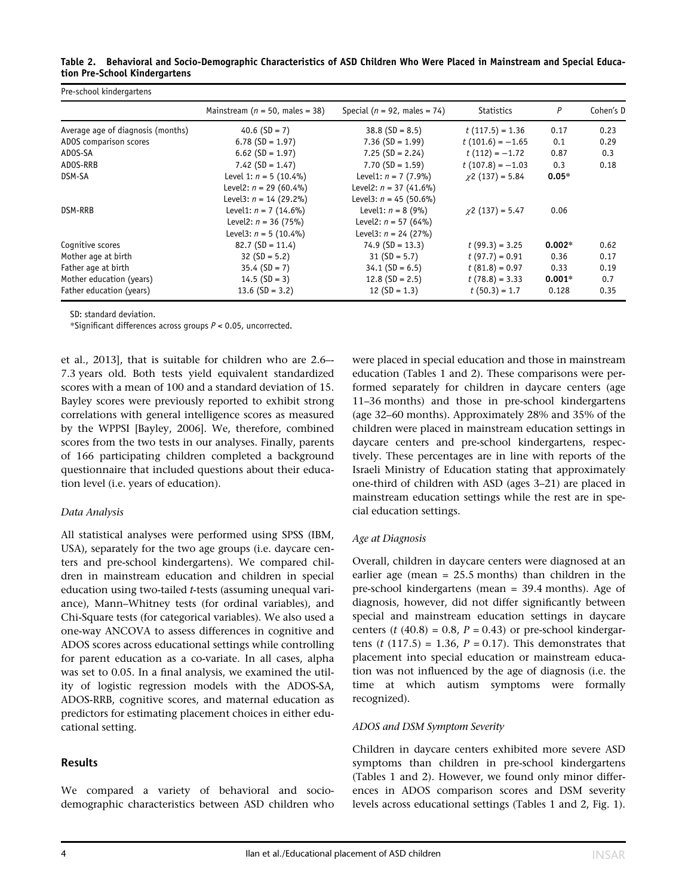| Table 2. Behavioral and Socio-Demographic Characteristics of ASD Children Who Were Placed in Mainstream and Special Educa- |  |  |  |
|----------------------------------------------------------------------------------------------------------------------------|--|--|--|
| tion Pre-School Kindergartens                                                                                              |  |  |  |

| Pre-school kindergartens          |                                     |                                  |                       |          |           |  |  |
|-----------------------------------|-------------------------------------|----------------------------------|-----------------------|----------|-----------|--|--|
|                                   | Mainstream ( $n = 50$ , males = 38) | Special ( $n = 92$ , males = 74) | <b>Statistics</b>     | P        | Cohen's D |  |  |
| Average age of diagnosis (months) | 40.6 $(SD = 7)$                     | $38.8$ (SD = 8.5)                | $t(117.5) = 1.36$     | 0.17     | 0.23      |  |  |
| ADOS comparison scores            | $6.78$ (SD = 1.97)                  | $7.36$ (SD = 1.99)               | $t(101.6) = -1.65$    | 0.1      | 0.29      |  |  |
| ADOS-SA                           | $6.62$ (SD = 1.97)                  | $7.25$ (SD = 2.24)               | $t(112) = -1.72$      | 0.87     | 0.3       |  |  |
| ADOS-RRB                          | $7.42$ (SD = 1.47)                  | $7.70$ (SD = 1.59)               | $t(107.8) = -1.03$    | 0.3      | 0.18      |  |  |
| DSM-SA                            | Level 1: $n = 5(10.4\%)$            | Level1: $n = 7$ (7.9%)           | $\chi$ 2 (137) = 5.84 | $0.05*$  |           |  |  |
|                                   | Level2: $n = 29(60.4\%)$            | Level2: $n = 37$ (41.6%)         |                       |          |           |  |  |
|                                   | Level3: $n = 14$ (29.2%)            | Level3: $n = 45$ (50.6%)         |                       |          |           |  |  |
| DSM-RRB                           | Level1: $n = 7$ (14.6%)             | Level1: $n = 8$ (9%)             | $\chi$ 2 (137) = 5.47 | 0.06     |           |  |  |
|                                   | Level2: $n = 36$ (75%)              | Level2: $n = 57$ (64%)           |                       |          |           |  |  |
|                                   | Level3: $n = 5$ (10.4%)             | Level3: $n = 24$ (27%)           |                       |          |           |  |  |
| Cognitive scores                  | $82.7(SD = 11.4)$                   | $74.9$ (SD = 13.3)               | $t(99.3) = 3.25$      | $0.002*$ | 0.62      |  |  |
| Mother age at birth               | $32(SD = 5.2)$                      | $31 (SD = 5.7)$                  | $t(97.7) = 0.91$      | 0.36     | 0.17      |  |  |
| Father age at birth               | $35.4 (SD = 7)$                     | $34.1$ (SD = 6.5)                | $t(81.8) = 0.97$      | 0.33     | 0.19      |  |  |
| Mother education (years)          | $14.5$ (SD = 3)                     | $12.8$ (SD = 2.5)                | $t(78.8) = 3.33$      | $0.001*$ | 0.7       |  |  |
| Father education (years)          | $13.6$ (SD = 3.2)                   | $12(SD = 1.3)$                   | $t(50.3) = 1.7$       | 0.128    | 0.35      |  |  |

SD: standard deviation.

\*Significant differences across groups  $P < 0.05$ , uncorrected.

et al., 2013], that is suitable for children who are 2.6–- 7.3 years old. Both tests yield equivalent standardized scores with a mean of 100 and a standard deviation of 15. Bayley scores were previously reported to exhibit strong correlations with general intelligence scores as measured by the WPPSI [Bayley, 2006]. We, therefore, combined scores from the two tests in our analyses. Finally, parents of 166 participating children completed a background questionnaire that included questions about their education level (i.e. years of education).

#### Data Analysis

All statistical analyses were performed using SPSS (IBM, USA), separately for the two age groups (i.e. daycare centers and pre-school kindergartens). We compared children in mainstream education and children in special education using two-tailed t-tests (assuming unequal variance), Mann–Whitney tests (for ordinal variables), and Chi-Square tests (for categorical variables). We also used a one-way ANCOVA to assess differences in cognitive and ADOS scores across educational settings while controlling for parent education as a co-variate. In all cases, alpha was set to 0.05. In a final analysis, we examined the utility of logistic regression models with the ADOS-SA, ADOS-RRB, cognitive scores, and maternal education as predictors for estimating placement choices in either educational setting.

#### Results

We compared a variety of behavioral and sociodemographic characteristics between ASD children who were placed in special education and those in mainstream education (Tables 1 and 2). These comparisons were performed separately for children in daycare centers (age 11–36 months) and those in pre-school kindergartens (age 32–60 months). Approximately 28% and 35% of the children were placed in mainstream education settings in daycare centers and pre-school kindergartens, respectively. These percentages are in line with reports of the Israeli Ministry of Education stating that approximately one-third of children with ASD (ages 3–21) are placed in mainstream education settings while the rest are in special education settings.

#### Age at Diagnosis

Overall, children in daycare centers were diagnosed at an earlier age (mean =  $25.5$  months) than children in the pre-school kindergartens (mean = 39.4 months). Age of diagnosis, however, did not differ significantly between special and mainstream education settings in daycare centers (t (40.8) = 0.8,  $P = 0.43$ ) or pre-school kindergartens (t (117.5) = 1.36,  $P = 0.17$ ). This demonstrates that placement into special education or mainstream education was not influenced by the age of diagnosis (i.e. the time at which autism symptoms were formally recognized).

#### ADOS and DSM Symptom Severity

Children in daycare centers exhibited more severe ASD symptoms than children in pre-school kindergartens (Tables 1 and 2). However, we found only minor differences in ADOS comparison scores and DSM severity levels across educational settings (Tables 1 and 2, Fig. 1).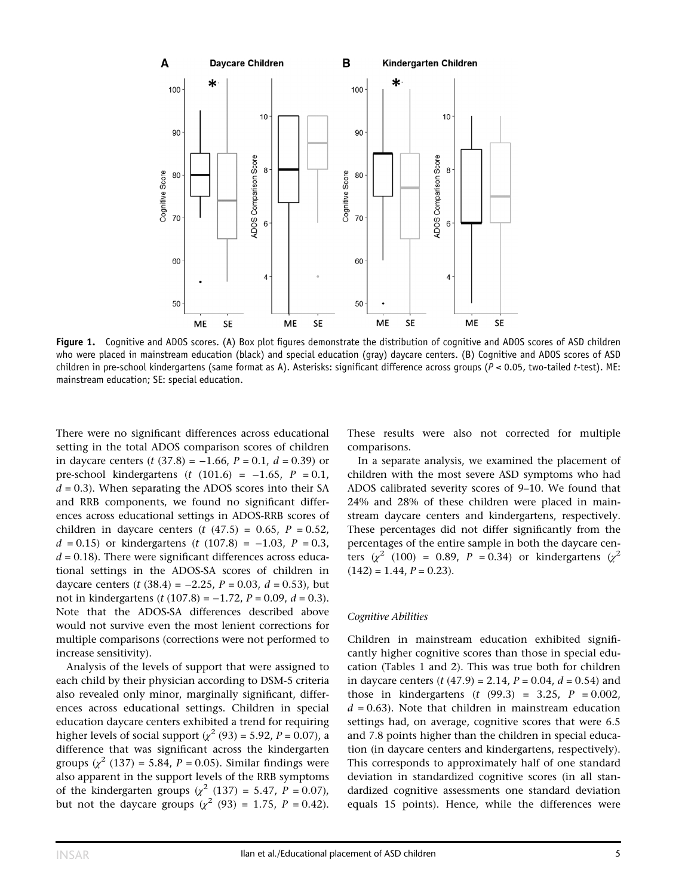

Figure 1. Cognitive and ADOS scores. (A) Box plot figures demonstrate the distribution of cognitive and ADOS scores of ASD children who were placed in mainstream education (black) and special education (gray) daycare centers. (B) Cognitive and ADOS scores of ASD children in pre-school kindergartens (same format as A). Asterisks: significant difference across groups (P < 0.05, two-tailed t-test). ME: mainstream education; SE: special education.

There were no significant differences across educational setting in the total ADOS comparison scores of children in daycare centers (*t* (37.8) = −1.66, *P* = 0.1, *d* = 0.39) or pre-school kindergartens (t  $(101.6) = -1.65$ ,  $P = 0.1$ ,  $d = 0.3$ ). When separating the ADOS scores into their SA and RRB components, we found no significant differences across educational settings in ADOS-RRB scores of children in daycare centers  $(t (47.5) = 0.65, P = 0.52,$  $d = 0.15$ ) or kindergartens (t (107.8) = -1.03, P = 0.3,  $d = 0.18$ ). There were significant differences across educational settings in the ADOS-SA scores of children in daycare centers (t (38.4) =  $-2.25$ ,  $P = 0.03$ ,  $d = 0.53$ ), but not in kindergartens (t (107.8) =  $-1.72$ ,  $P = 0.09$ ,  $d = 0.3$ ). Note that the ADOS-SA differences described above would not survive even the most lenient corrections for multiple comparisons (corrections were not performed to increase sensitivity).

Analysis of the levels of support that were assigned to each child by their physician according to DSM-5 criteria also revealed only minor, marginally significant, differences across educational settings. Children in special education daycare centers exhibited a trend for requiring higher levels of social support ( $\chi^2$  (93) = 5.92, P = 0.07), a difference that was significant across the kindergarten groups  $(\chi^2 (137) = 5.84, P = 0.05)$ . Similar findings were also apparent in the support levels of the RRB symptoms of the kindergarten groups ( $\chi^2$  (137) = 5.47, P = 0.07), but not the daycare groups ( $\chi^2$  (93) = 1.75, P = 0.42). These results were also not corrected for multiple comparisons.

In a separate analysis, we examined the placement of children with the most severe ASD symptoms who had ADOS calibrated severity scores of 9–10. We found that 24% and 28% of these children were placed in mainstream daycare centers and kindergartens, respectively. These percentages did not differ significantly from the percentages of the entire sample in both the daycare centers ( $\chi^2$  (100) = 0.89, P = 0.34) or kindergartens ( $\chi^2$ )  $(142) = 1.44, P = 0.23$ .

#### Cognitive Abilities

Children in mainstream education exhibited significantly higher cognitive scores than those in special education (Tables 1 and 2). This was true both for children in daycare centers  $(t (47.9) = 2.14, P = 0.04, d = 0.54)$  and those in kindergartens  $(t (99.3) = 3.25, P = 0.002,$  $d = 0.63$ ). Note that children in mainstream education settings had, on average, cognitive scores that were 6.5 and 7.8 points higher than the children in special education (in daycare centers and kindergartens, respectively). This corresponds to approximately half of one standard deviation in standardized cognitive scores (in all standardized cognitive assessments one standard deviation equals 15 points). Hence, while the differences were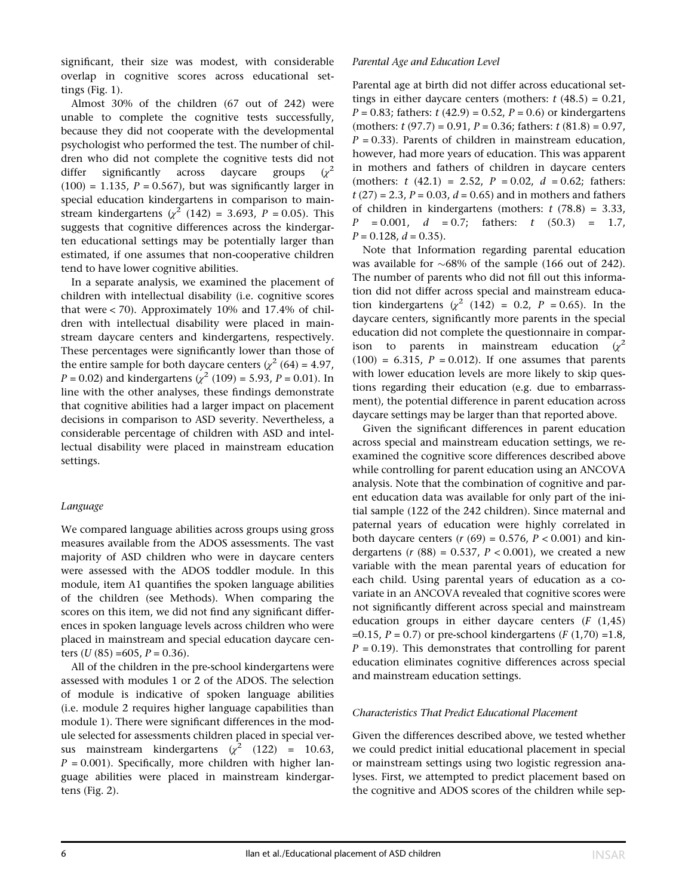significant, their size was modest, with considerable overlap in cognitive scores across educational settings (Fig. 1).

Almost 30% of the children (67 out of 242) were unable to complete the cognitive tests successfully, because they did not cooperate with the developmental psychologist who performed the test. The number of children who did not complete the cognitive tests did not differ significantly across daycare groups  $(x^2)$  $(100) = 1.135$ ,  $P = 0.567$ ), but was significantly larger in special education kindergartens in comparison to mainstream kindergartens ( $\chi^2$  (142) = 3.693, P = 0.05). This suggests that cognitive differences across the kindergarten educational settings may be potentially larger than estimated, if one assumes that non-cooperative children tend to have lower cognitive abilities.

In a separate analysis, we examined the placement of children with intellectual disability (i.e. cognitive scores that were < 70). Approximately 10% and 17.4% of children with intellectual disability were placed in mainstream daycare centers and kindergartens, respectively. These percentages were significantly lower than those of the entire sample for both daycare centers ( $\chi^2$  (64) = 4.97,  $P = 0.02$ ) and kindergartens ( $\chi^2$  (109) = 5.93, P = 0.01). In line with the other analyses, these findings demonstrate that cognitive abilities had a larger impact on placement decisions in comparison to ASD severity. Nevertheless, a considerable percentage of children with ASD and intellectual disability were placed in mainstream education settings.

## Language

We compared language abilities across groups using gross measures available from the ADOS assessments. The vast majority of ASD children who were in daycare centers were assessed with the ADOS toddler module. In this module, item A1 quantifies the spoken language abilities of the children (see Methods). When comparing the scores on this item, we did not find any significant differences in spoken language levels across children who were placed in mainstream and special education daycare centers  $(U (85) = 605, P = 0.36)$ .

All of the children in the pre-school kindergartens were assessed with modules 1 or 2 of the ADOS. The selection of module is indicative of spoken language abilities (i.e. module 2 requires higher language capabilities than module 1). There were significant differences in the module selected for assessments children placed in special versus mainstream kindergartens  $(\chi^2$  (122) = 10.63,  $P = 0.001$ ). Specifically, more children with higher language abilities were placed in mainstream kindergartens (Fig. 2).

## Parental Age and Education Level

Parental age at birth did not differ across educational settings in either daycare centers (mothers:  $t$  (48.5) = 0.21,  $P = 0.83$ ; fathers:  $t(42.9) = 0.52$ ,  $P = 0.6$ ) or kindergartens (mothers:  $t$  (97.7) = 0.91,  $P = 0.36$ ; fathers:  $t$  (81.8) = 0.97,  $P = 0.33$ ). Parents of children in mainstream education. however, had more years of education. This was apparent in mothers and fathers of children in daycare centers (mothers:  $t$  (42.1) = 2.52,  $P = 0.02$ ,  $d = 0.62$ ; fathers:  $t(27) = 2.3$ ,  $P = 0.03$ ,  $d = 0.65$ ) and in mothers and fathers of children in kindergartens (mothers:  $t$  (78.8) = 3.33,  $P = 0.001$ ,  $d = 0.7$ ; fathers: t (50.3) = 1.7,  $P = 0.128$ ,  $d = 0.35$ ).

Note that Information regarding parental education was available for  $\sim 68\%$  of the sample (166 out of 242). The number of parents who did not fill out this information did not differ across special and mainstream education kindergartens ( $\chi^2$  (142) = 0.2, P = 0.65). In the daycare centers, significantly more parents in the special education did not complete the questionnaire in comparison to parents in mainstream education  $(x^2)$  $(100) = 6.315$ ,  $P = 0.012$ ). If one assumes that parents with lower education levels are more likely to skip questions regarding their education (e.g. due to embarrassment), the potential difference in parent education across daycare settings may be larger than that reported above.

Given the significant differences in parent education across special and mainstream education settings, we reexamined the cognitive score differences described above while controlling for parent education using an ANCOVA analysis. Note that the combination of cognitive and parent education data was available for only part of the initial sample (122 of the 242 children). Since maternal and paternal years of education were highly correlated in both daycare centers ( $r$  (69) = 0.576,  $P$  < 0.001) and kindergartens ( $r(88) = 0.537$ ,  $P < 0.001$ ), we created a new variable with the mean parental years of education for each child. Using parental years of education as a covariate in an ANCOVA revealed that cognitive scores were not significantly different across special and mainstream education groups in either daycare centers  $(F (1,45))$ =0.15,  $P = 0.7$ ) or pre-school kindergartens ( $F(1,70) = 1.8$ ,  $P = 0.19$ ). This demonstrates that controlling for parent education eliminates cognitive differences across special and mainstream education settings.

#### Characteristics That Predict Educational Placement

Given the differences described above, we tested whether we could predict initial educational placement in special or mainstream settings using two logistic regression analyses. First, we attempted to predict placement based on the cognitive and ADOS scores of the children while sep-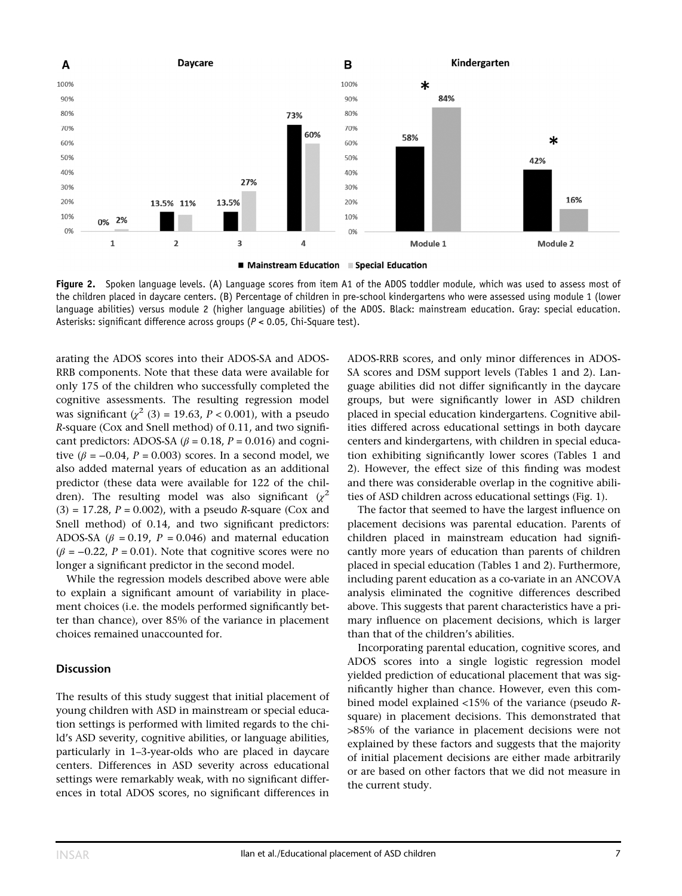

Figure 2. Spoken language levels. (A) Language scores from item A1 of the ADOS toddler module, which was used to assess most of the children placed in daycare centers. (B) Percentage of children in pre-school kindergartens who were assessed using module 1 (lower language abilities) versus module 2 (higher language abilities) of the ADOS. Black: mainstream education. Gray: special education. Asterisks: significant difference across groups (P < 0.05, Chi-Square test).

arating the ADOS scores into their ADOS-SA and ADOS-RRB components. Note that these data were available for only 175 of the children who successfully completed the cognitive assessments. The resulting regression model was significant ( $\chi^2$  (3) = 19.63, P < 0.001), with a pseudo R-square (Cox and Snell method) of 0.11, and two significant predictors: ADOS-SA ( $\beta$  = 0.18, P = 0.016) and cognitive ( $\beta$  = -0.04, P = 0.003) scores. In a second model, we also added maternal years of education as an additional predictor (these data were available for 122 of the children). The resulting model was also significant  $(x^2)$  $(3) = 17.28$ ,  $P = 0.002$ ), with a pseudo R-square (Cox and Snell method) of 0.14, and two significant predictors: ADOS-SA ( $\beta$  = 0.19, P = 0.046) and maternal education  $(\beta = -0.22, P = 0.01)$ . Note that cognitive scores were no longer a significant predictor in the second model.

While the regression models described above were able to explain a significant amount of variability in placement choices (i.e. the models performed significantly better than chance), over 85% of the variance in placement choices remained unaccounted for.

#### **Discussion**

The results of this study suggest that initial placement of young children with ASD in mainstream or special education settings is performed with limited regards to the child's ASD severity, cognitive abilities, or language abilities, particularly in 1–3-year-olds who are placed in daycare centers. Differences in ASD severity across educational settings were remarkably weak, with no significant differences in total ADOS scores, no significant differences in ADOS-RRB scores, and only minor differences in ADOS-SA scores and DSM support levels (Tables 1 and 2). Language abilities did not differ significantly in the daycare groups, but were significantly lower in ASD children placed in special education kindergartens. Cognitive abilities differed across educational settings in both daycare centers and kindergartens, with children in special education exhibiting significantly lower scores (Tables 1 and 2). However, the effect size of this finding was modest and there was considerable overlap in the cognitive abilities of ASD children across educational settings (Fig. 1).

The factor that seemed to have the largest influence on placement decisions was parental education. Parents of children placed in mainstream education had significantly more years of education than parents of children placed in special education (Tables 1 and 2). Furthermore, including parent education as a co-variate in an ANCOVA analysis eliminated the cognitive differences described above. This suggests that parent characteristics have a primary influence on placement decisions, which is larger than that of the children's abilities.

Incorporating parental education, cognitive scores, and ADOS scores into a single logistic regression model yielded prediction of educational placement that was significantly higher than chance. However, even this combined model explained <15% of the variance (pseudo Rsquare) in placement decisions. This demonstrated that >85% of the variance in placement decisions were not explained by these factors and suggests that the majority of initial placement decisions are either made arbitrarily or are based on other factors that we did not measure in the current study.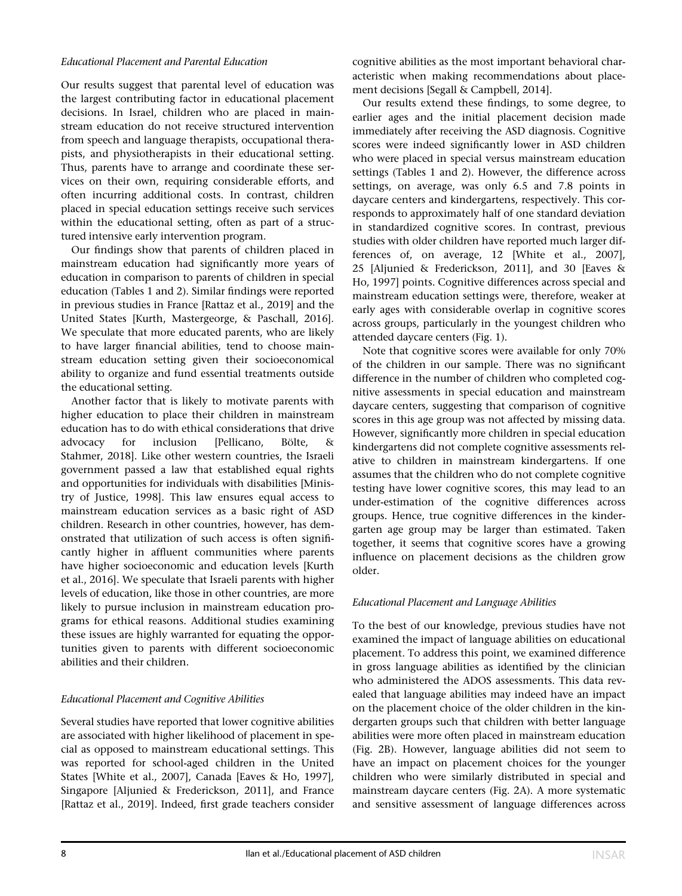#### Educational Placement and Parental Education

Our results suggest that parental level of education was the largest contributing factor in educational placement decisions. In Israel, children who are placed in mainstream education do not receive structured intervention from speech and language therapists, occupational therapists, and physiotherapists in their educational setting. Thus, parents have to arrange and coordinate these services on their own, requiring considerable efforts, and often incurring additional costs. In contrast, children placed in special education settings receive such services within the educational setting, often as part of a structured intensive early intervention program.

Our findings show that parents of children placed in mainstream education had significantly more years of education in comparison to parents of children in special education (Tables 1 and 2). Similar findings were reported in previous studies in France [Rattaz et al., 2019] and the United States [Kurth, Mastergeorge, & Paschall, 2016]. We speculate that more educated parents, who are likely to have larger financial abilities, tend to choose mainstream education setting given their socioeconomical ability to organize and fund essential treatments outside the educational setting.

Another factor that is likely to motivate parents with higher education to place their children in mainstream education has to do with ethical considerations that drive advocacy for inclusion [Pellicano, Bölte, & Stahmer, 2018]. Like other western countries, the Israeli government passed a law that established equal rights and opportunities for individuals with disabilities [Ministry of Justice, 1998]. This law ensures equal access to mainstream education services as a basic right of ASD children. Research in other countries, however, has demonstrated that utilization of such access is often significantly higher in affluent communities where parents have higher socioeconomic and education levels [Kurth et al., 2016]. We speculate that Israeli parents with higher levels of education, like those in other countries, are more likely to pursue inclusion in mainstream education programs for ethical reasons. Additional studies examining these issues are highly warranted for equating the opportunities given to parents with different socioeconomic abilities and their children.

#### Educational Placement and Cognitive Abilities

Several studies have reported that lower cognitive abilities are associated with higher likelihood of placement in special as opposed to mainstream educational settings. This was reported for school-aged children in the United States [White et al., 2007], Canada [Eaves & Ho, 1997], Singapore [Aljunied & Frederickson, 2011], and France [Rattaz et al., 2019]. Indeed, first grade teachers consider cognitive abilities as the most important behavioral characteristic when making recommendations about placement decisions [Segall & Campbell, 2014].

Our results extend these findings, to some degree, to earlier ages and the initial placement decision made immediately after receiving the ASD diagnosis. Cognitive scores were indeed significantly lower in ASD children who were placed in special versus mainstream education settings (Tables 1 and 2). However, the difference across settings, on average, was only 6.5 and 7.8 points in daycare centers and kindergartens, respectively. This corresponds to approximately half of one standard deviation in standardized cognitive scores. In contrast, previous studies with older children have reported much larger differences of, on average, 12 [White et al., 2007], 25 [Aljunied & Frederickson, 2011], and 30 [Eaves & Ho, 1997] points. Cognitive differences across special and mainstream education settings were, therefore, weaker at early ages with considerable overlap in cognitive scores across groups, particularly in the youngest children who attended daycare centers (Fig. 1).

Note that cognitive scores were available for only 70% of the children in our sample. There was no significant difference in the number of children who completed cognitive assessments in special education and mainstream daycare centers, suggesting that comparison of cognitive scores in this age group was not affected by missing data. However, significantly more children in special education kindergartens did not complete cognitive assessments relative to children in mainstream kindergartens. If one assumes that the children who do not complete cognitive testing have lower cognitive scores, this may lead to an under-estimation of the cognitive differences across groups. Hence, true cognitive differences in the kindergarten age group may be larger than estimated. Taken together, it seems that cognitive scores have a growing influence on placement decisions as the children grow older.

#### Educational Placement and Language Abilities

To the best of our knowledge, previous studies have not examined the impact of language abilities on educational placement. To address this point, we examined difference in gross language abilities as identified by the clinician who administered the ADOS assessments. This data revealed that language abilities may indeed have an impact on the placement choice of the older children in the kindergarten groups such that children with better language abilities were more often placed in mainstream education (Fig. 2B). However, language abilities did not seem to have an impact on placement choices for the younger children who were similarly distributed in special and mainstream daycare centers (Fig. 2A). A more systematic and sensitive assessment of language differences across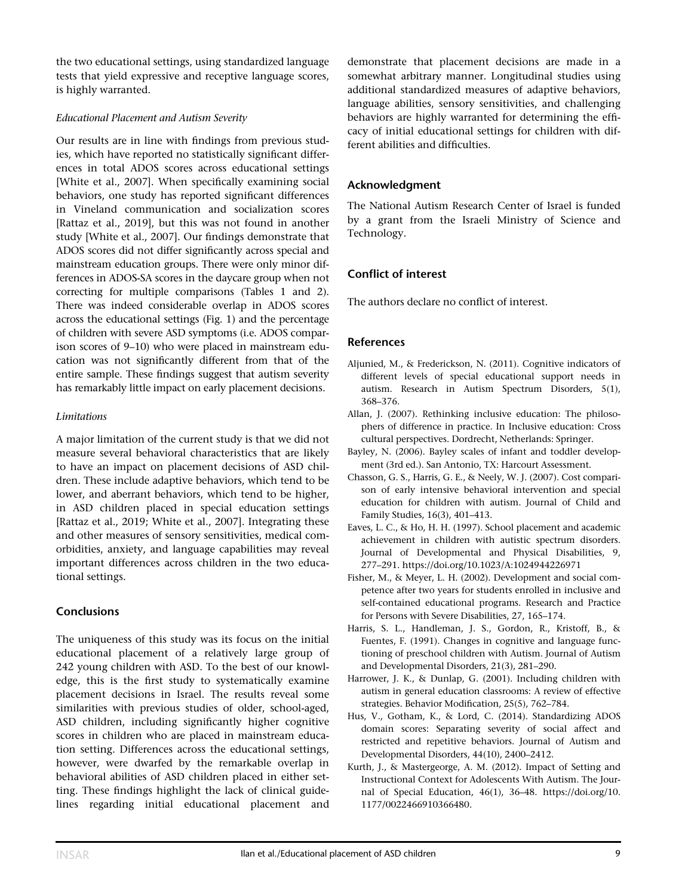the two educational settings, using standardized language tests that yield expressive and receptive language scores, is highly warranted.

## Educational Placement and Autism Severity

Our results are in line with findings from previous studies, which have reported no statistically significant differences in total ADOS scores across educational settings [White et al., 2007]. When specifically examining social behaviors, one study has reported significant differences in Vineland communication and socialization scores [Rattaz et al., 2019], but this was not found in another study [White et al., 2007]. Our findings demonstrate that ADOS scores did not differ significantly across special and mainstream education groups. There were only minor differences in ADOS-SA scores in the daycare group when not correcting for multiple comparisons (Tables 1 and 2). There was indeed considerable overlap in ADOS scores across the educational settings (Fig. 1) and the percentage of children with severe ASD symptoms (i.e. ADOS comparison scores of 9–10) who were placed in mainstream education was not significantly different from that of the entire sample. These findings suggest that autism severity has remarkably little impact on early placement decisions.

## **Limitations**

A major limitation of the current study is that we did not measure several behavioral characteristics that are likely to have an impact on placement decisions of ASD children. These include adaptive behaviors, which tend to be lower, and aberrant behaviors, which tend to be higher, in ASD children placed in special education settings [Rattaz et al., 2019; White et al., 2007]. Integrating these and other measures of sensory sensitivities, medical comorbidities, anxiety, and language capabilities may reveal important differences across children in the two educational settings.

# Conclusions

The uniqueness of this study was its focus on the initial educational placement of a relatively large group of 242 young children with ASD. To the best of our knowledge, this is the first study to systematically examine placement decisions in Israel. The results reveal some similarities with previous studies of older, school-aged, ASD children, including significantly higher cognitive scores in children who are placed in mainstream education setting. Differences across the educational settings, however, were dwarfed by the remarkable overlap in behavioral abilities of ASD children placed in either setting. These findings highlight the lack of clinical guidelines regarding initial educational placement and demonstrate that placement decisions are made in a somewhat arbitrary manner. Longitudinal studies using additional standardized measures of adaptive behaviors, language abilities, sensory sensitivities, and challenging behaviors are highly warranted for determining the efficacy of initial educational settings for children with different abilities and difficulties.

# Acknowledgment

The National Autism Research Center of Israel is funded by a grant from the Israeli Ministry of Science and Technology.

# Conflict of interest

The authors declare no conflict of interest.

## References

- Aljunied, M., & Frederickson, N. (2011). Cognitive indicators of different levels of special educational support needs in autism. Research in Autism Spectrum Disorders, 5(1), 368–376.
- Allan, J. (2007). Rethinking inclusive education: The philosophers of difference in practice. In Inclusive education: Cross cultural perspectives. Dordrecht, Netherlands: Springer.
- Bayley, N. (2006). Bayley scales of infant and toddler development (3rd ed.). San Antonio, TX: Harcourt Assessment.
- Chasson, G. S., Harris, G. E., & Neely, W. J. (2007). Cost comparison of early intensive behavioral intervention and special education for children with autism. Journal of Child and Family Studies, 16(3), 401–413.
- Eaves, L. C., & Ho, H. H. (1997). School placement and academic achievement in children with autistic spectrum disorders. Journal of Developmental and Physical Disabilities, 9, 277–291.<https://doi.org/10.1023/A:1024944226971>
- Fisher, M., & Meyer, L. H. (2002). Development and social competence after two years for students enrolled in inclusive and self-contained educational programs. Research and Practice for Persons with Severe Disabilities, 27, 165–174.
- Harris, S. L., Handleman, J. S., Gordon, R., Kristoff, B., & Fuentes, F. (1991). Changes in cognitive and language functioning of preschool children with Autism. Journal of Autism and Developmental Disorders, 21(3), 281–290.
- Harrower, J. K., & Dunlap, G. (2001). Including children with autism in general education classrooms: A review of effective strategies. Behavior Modification, 25(5), 762–784.
- Hus, V., Gotham, K., & Lord, C. (2014). Standardizing ADOS domain scores: Separating severity of social affect and restricted and repetitive behaviors. Journal of Autism and Developmental Disorders, 44(10), 2400–2412.
- Kurth, J., & Mastergeorge, A. M. (2012). Impact of Setting and Instructional Context for Adolescents With Autism. The Journal of Special Education, 46(1), 36–48. [https://doi.org/10.](https://doi.org/10.1177/0022466910366480) [1177/0022466910366480.](https://doi.org/10.1177/0022466910366480)